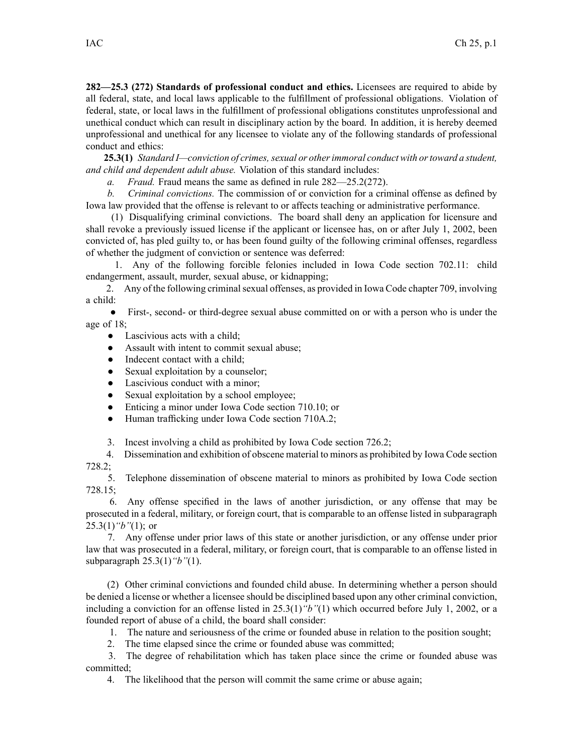**282—25.3 (272) Standards of professional conduct and ethics.** Licensees are required to abide by all federal, state, and local laws applicable to the fulfillment of professional obligations. Violation of federal, state, or local laws in the fulfillment of professional obligations constitutes unprofessional and unethical conduct which can result in disciplinary action by the board. In addition, it is hereby deemed unprofessional and unethical for any licensee to violate any of the following standards of professional conduct and ethics:

**25.3(1)** *Standard I—conviction of crimes, sexual or other immoral conduct with or toward a student, and child and dependent adult abuse.* Violation of this standard includes:

*a. Fraud.* Fraud means the same as defined in rule 282—25.2(272).

*b. Criminal convictions.* The commission of or conviction for <sup>a</sup> criminal offense as defined by Iowa law provided that the offense is relevant to or affects teaching or administrative performance.

(1) Disqualifying criminal convictions. The board shall deny an application for licensure and shall revoke <sup>a</sup> previously issued license if the applicant or licensee has, on or after July 1, 2002, been convicted of, has pled guilty to, or has been found guilty of the following criminal offenses, regardless of whether the judgment of conviction or sentence was deferred:

1. Any of the following forcible felonies included in Iowa Code section 702.11: child endangerment, assault, murder, sexual abuse, or kidnapping;

2. Any of the following criminal sexual offenses, as provided in Iowa Code chapter 709, involving <sup>a</sup> child:

 $\bullet$  First-, second- or third-degree sexual abuse committed on or with <sup>a</sup> person who is under the age of 18;

- ●Lascivious acts with <sup>a</sup> child;
- $\bullet$ Assault with intent to commit sexual abuse;
- $\bullet$ Indecent contact with <sup>a</sup> child;
- $\bullet$ Sexual exploitation by <sup>a</sup> counselor;
- $\bullet$ Lascivious conduct with <sup>a</sup> minor;
- $\bullet$ Sexual exploitation by <sup>a</sup> school employee;
- $\bullet$ Enticing <sup>a</sup> minor under Iowa Code section 710.10; or
- $\bullet$ Human trafficking under Iowa Code section 710A.2;
- 3. Incest involving <sup>a</sup> child as prohibited by Iowa Code section 726.2;

4. Dissemination and exhibition of obscene material to minors as prohibited by Iowa Code section 728.2;

5. Telephone dissemination of obscene material to minors as prohibited by Iowa Code section 728.15;

6. Any offense specified in the laws of another jurisdiction, or any offense that may be prosecuted in <sup>a</sup> federal, military, or foreign court, that is comparable to an offense listed in subparagraph 25.3(1)*"b"*(1); or

7. Any offense under prior laws of this state or another jurisdiction, or any offense under prior law that was prosecuted in <sup>a</sup> federal, military, or foreign court, that is comparable to an offense listed in subparagraph 25.3(1)*"b"*(1).

(2) Other criminal convictions and founded child abuse. In determining whether <sup>a</sup> person should be denied <sup>a</sup> license or whether <sup>a</sup> licensee should be disciplined based upon any other criminal conviction, including <sup>a</sup> conviction for an offense listed in 25.3(1)*"b"*(1) which occurred before July 1, 2002, or <sup>a</sup> founded repor<sup>t</sup> of abuse of <sup>a</sup> child, the board shall consider:

1. The nature and seriousness of the crime or founded abuse in relation to the position sought;

2. The time elapsed since the crime or founded abuse was committed;

3. The degree of rehabilitation which has taken place since the crime or founded abuse was committed;

4. The likelihood that the person will commit the same crime or abuse again;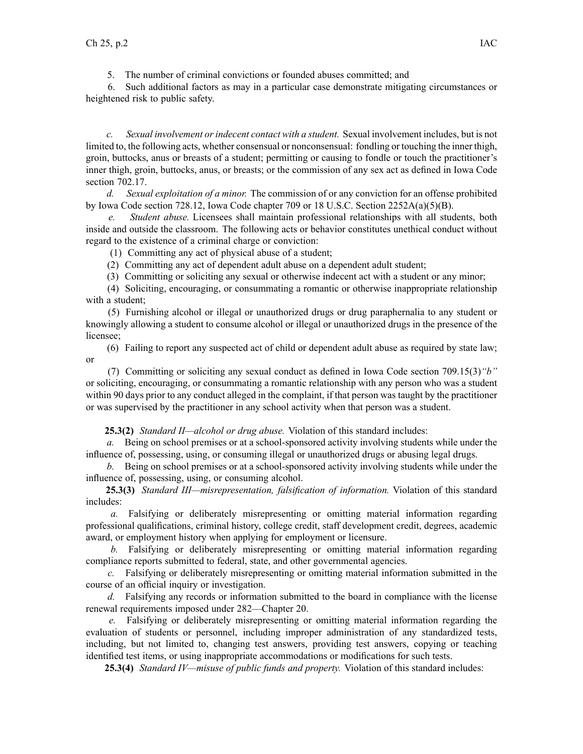5. The number of criminal convictions or founded abuses committed; and

6. Such additional factors as may in <sup>a</sup> particular case demonstrate mitigating circumstances or heightened risk to public safety.

*c. Sexual involvement orindecent contact with <sup>a</sup> student.* Sexual involvement includes, but is not limited to, the following acts, whether consensual or nonconsensual: fondling or touching the inner thigh, groin, buttocks, anus or breasts of <sup>a</sup> student; permitting or causing to fondle or touch the practitioner's inner thigh, groin, buttocks, anus, or breasts; or the commission of any sex act as defined in Iowa Code section 702.17.

*d. Sexual exploitation of <sup>a</sup> minor.* The commission of or any conviction for an offense prohibited by Iowa Code section 728.12, Iowa Code chapter 709 or 18 U.S.C. Section  $2252A(a)(5)(B)$ .

*e. Student abuse.* Licensees shall maintain professional relationships with all students, both inside and outside the classroom. The following acts or behavior constitutes unethical conduct without regard to the existence of <sup>a</sup> criminal charge or conviction:

(1) Committing any act of physical abuse of <sup>a</sup> student;

(2) Committing any act of dependent adult abuse on <sup>a</sup> dependent adult student;

(3) Committing or soliciting any sexual or otherwise indecent act with <sup>a</sup> student or any minor;

(4) Soliciting, encouraging, or consummating <sup>a</sup> romantic or otherwise inappropriate relationship with <sup>a</sup> student;

(5) Furnishing alcohol or illegal or unauthorized drugs or drug paraphernalia to any student or knowingly allowing <sup>a</sup> student to consume alcohol or illegal or unauthorized drugs in the presence of the licensee;

(6) Failing to repor<sup>t</sup> any suspected act of child or dependent adult abuse as required by state law; or

(7) Committing or soliciting any sexual conduct as defined in Iowa Code section 709.15(3)*"b"* or soliciting, encouraging, or consummating <sup>a</sup> romantic relationship with any person who was <sup>a</sup> student within 90 days prior to any conduct alleged in the complaint, if that person was taught by the practitioner or was supervised by the practitioner in any school activity when that person was <sup>a</sup> student.

**25.3(2)** *Standard II—alcohol or drug abuse.* Violation of this standard includes:

*a.* Being on school premises or at <sup>a</sup> school-sponsored activity involving students while under the influence of, possessing, using, or consuming illegal or unauthorized drugs or abusing legal drugs.

*b.* Being on school premises or at <sup>a</sup> school-sponsored activity involving students while under the influence of, possessing, using, or consuming alcohol.

**25.3(3)** *Standard III—misrepresentation, falsification of information.* Violation of this standard includes:

*a.* Falsifying or deliberately misrepresenting or omitting material information regarding professional qualifications, criminal history, college credit, staff development credit, degrees, academic award, or employment history when applying for employment or licensure.

*b.* Falsifying or deliberately misrepresenting or omitting material information regarding compliance reports submitted to federal, state, and other governmental agencies.

*c.* Falsifying or deliberately misrepresenting or omitting material information submitted in the course of an official inquiry or investigation.

*d.* Falsifying any records or information submitted to the board in compliance with the license renewal requirements imposed under 282—Chapter 20.

*e.* Falsifying or deliberately misrepresenting or omitting material information regarding the evaluation of students or personnel, including improper administration of any standardized tests, including, but not limited to, changing test answers, providing test answers, copying or teaching identified test items, or using inappropriate accommodations or modifications for such tests.

**25.3(4)** *Standard IV—misuse of public funds and property.* Violation of this standard includes: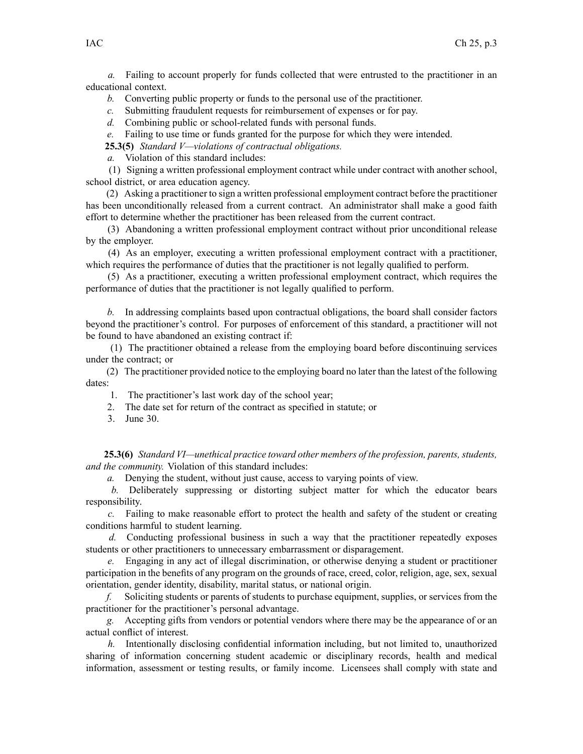*a.* Failing to account properly for funds collected that were entrusted to the practitioner in an educational context.

*b.* Converting public property or funds to the personal use of the practitioner.

*c.* Submitting fraudulent requests for reimbursement of expenses or for pay.

*d.* Combining public or school-related funds with personal funds.

*e.* Failing to use time or funds granted for the purpose for which they were intended.

**25.3(5)** *Standard V—violations of contractual obligations.*

*a.* Violation of this standard includes:

(1) Signing <sup>a</sup> written professional employment contract while under contract with another school, school district, or area education agency.

(2) Asking <sup>a</sup> practitioner to sign <sup>a</sup> written professional employment contract before the practitioner has been unconditionally released from <sup>a</sup> current contract. An administrator shall make <sup>a</sup> good faith effort to determine whether the practitioner has been released from the current contract.

(3) Abandoning <sup>a</sup> written professional employment contract without prior unconditional release by the employer.

(4) As an employer, executing <sup>a</sup> written professional employment contract with <sup>a</sup> practitioner, which requires the performance of duties that the practitioner is not legally qualified to perform.

(5) As <sup>a</sup> practitioner, executing <sup>a</sup> written professional employment contract, which requires the performance of duties that the practitioner is not legally qualified to perform.

*b.* In addressing complaints based upon contractual obligations, the board shall consider factors beyond the practitioner's control. For purposes of enforcement of this standard, <sup>a</sup> practitioner will not be found to have abandoned an existing contract if:

(1) The practitioner obtained <sup>a</sup> release from the employing board before discontinuing services under the contract; or

(2) The practitioner provided notice to the employing board no later than the latest of the following dates:

1. The practitioner's last work day of the school year;

- 2. The date set for return of the contract as specified in statute; or
- 3. June 30.

**25.3(6)** *Standard VI—unethical practice toward other members of the profession, parents, students, and the community.* Violation of this standard includes:

*a.* Denying the student, without just cause, access to varying points of view.

*b.* Deliberately suppressing or distorting subject matter for which the educator bears responsibility.

*c.* Failing to make reasonable effort to protect the health and safety of the student or creating conditions harmful to student learning.

*d.* Conducting professional business in such <sup>a</sup> way that the practitioner repeatedly exposes students or other practitioners to unnecessary embarrassment or disparagement.

*e.* Engaging in any act of illegal discrimination, or otherwise denying <sup>a</sup> student or practitioner participation in the benefits of any program on the grounds of race, creed, color, religion, age, sex, sexual orientation, gender identity, disability, marital status, or national origin.

*f.* Soliciting students or parents of students to purchase equipment, supplies, or services from the practitioner for the practitioner's personal advantage.

*g.* Accepting gifts from vendors or potential vendors where there may be the appearance of or an actual conflict of interest.

*h.* Intentionally disclosing confidential information including, but not limited to, unauthorized sharing of information concerning student academic or disciplinary records, health and medical information, assessment or testing results, or family income. Licensees shall comply with state and